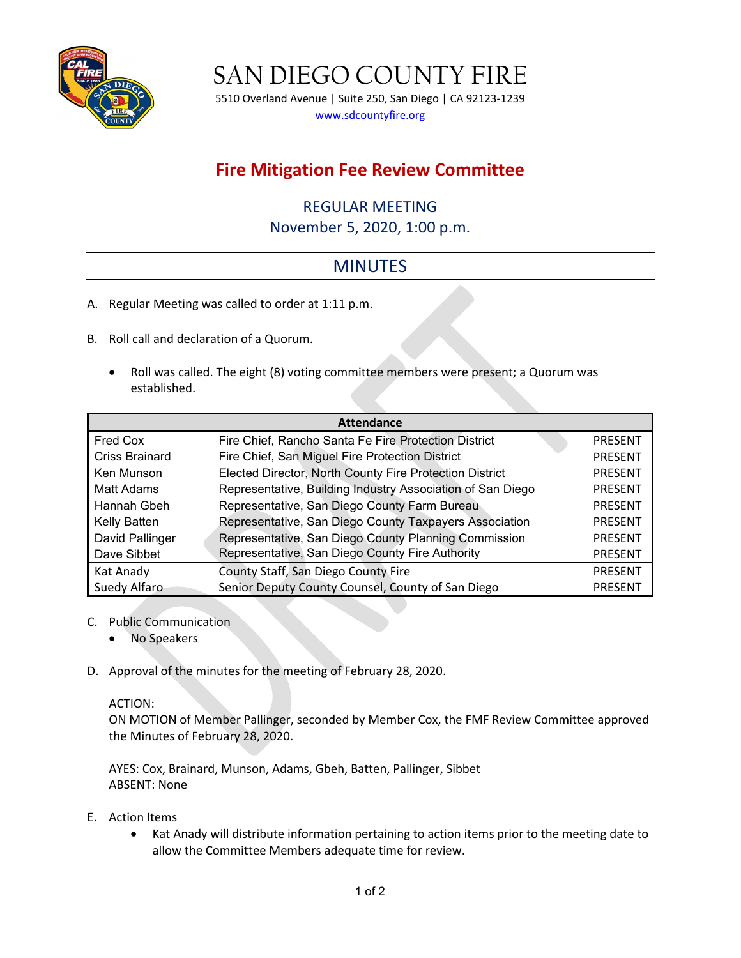

SAN DIEGO COUNTY FIRE

5510 Overland Avenue | Suite 250, San Diego | CA 92123-1239 [www.sdcountyfire.org](http://www.sdcountyfire.org/)

## **Fire Mitigation Fee Review Committee**

## REGULAR MEETING

November 5, 2020, 1:00 p.m.

## MINUTES

- A. Regular Meeting was called to order at 1:11 p.m.
- B. Roll call and declaration of a Quorum.
	- Roll was called. The eight (8) voting committee members were present; a Quorum was established.

| <b>Attendance</b>     |                                                            |                |
|-----------------------|------------------------------------------------------------|----------------|
| Fred Cox              | Fire Chief, Rancho Santa Fe Fire Protection District       | <b>PRESENT</b> |
| <b>Criss Brainard</b> | Fire Chief, San Miguel Fire Protection District            | <b>PRESENT</b> |
| Ken Munson            | Elected Director, North County Fire Protection District    | <b>PRESENT</b> |
| Matt Adams            | Representative, Building Industry Association of San Diego | <b>PRESENT</b> |
| Hannah Gbeh           | Representative, San Diego County Farm Bureau               | <b>PRESENT</b> |
| Kelly Batten          | Representative, San Diego County Taxpayers Association     | <b>PRESENT</b> |
| David Pallinger       | Representative, San Diego County Planning Commission       | <b>PRESENT</b> |
| Dave Sibbet           | Representative, San Diego County Fire Authority            | <b>PRESENT</b> |
| Kat Anady             | County Staff, San Diego County Fire                        | <b>PRESENT</b> |
| Suedy Alfaro          | Senior Deputy County Counsel, County of San Diego          | <b>PRESENT</b> |

- C. Public Communication
	- No Speakers
- D. Approval of the minutes for the meeting of February 28, 2020.

## ACTION:

ON MOTION of Member Pallinger, seconded by Member Cox, the FMF Review Committee approved the Minutes of February 28, 2020.

AYES: Cox, Brainard, Munson, Adams, Gbeh, Batten, Pallinger, Sibbet ABSENT: None

- E. Action Items
	- Kat Anady will distribute information pertaining to action items prior to the meeting date to allow the Committee Members adequate time for review.